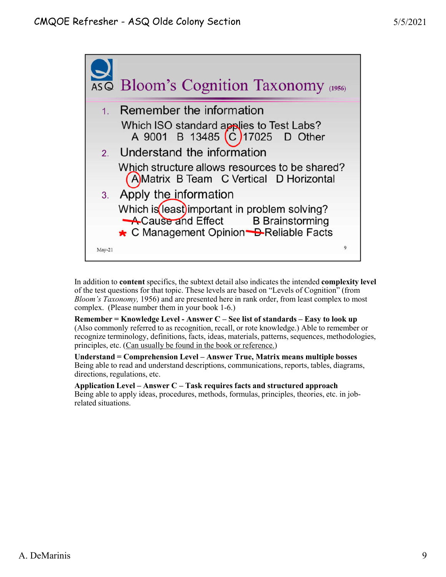

In addition to **content** specifics, the subtext detail also indicates the intended **complexity level** of the test questions for that topic. These levels are based on "Levels of Cognition" (from *Bloom's Taxonomy,* 1956) and are presented here in rank order, from least complex to most complex. (Please number them in your book 1-6.)

**Remember = Knowledge Level - Answer C – See list of standards – Easy to look up** (Also commonly referred to as recognition, recall, or rote knowledge.) Able to remember or recognize terminology, definitions, facts, ideas, materials, patterns, sequences, methodologies, principles, etc. (Can usually be found in the book or reference.)

**Understand = Comprehension Level – Answer True, Matrix means multiple bosses** Being able to read and understand descriptions, communications, reports, tables, diagrams, directions, regulations, etc.

**Application Level – Answer C – Task requires facts and structured approach** Being able to apply ideas, procedures, methods, formulas, principles, theories, etc. in jobrelated situations.